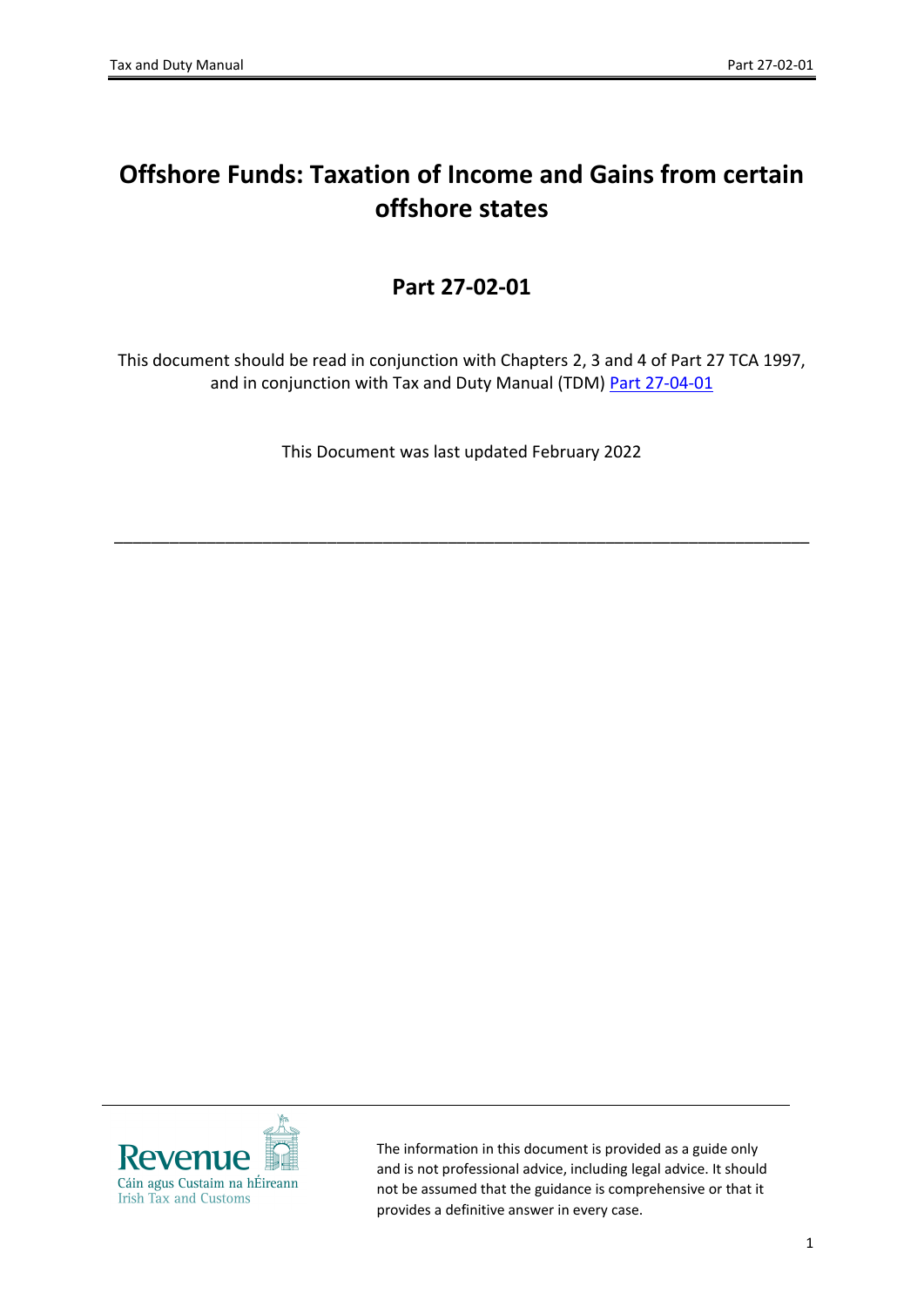# **Offshore Funds: Taxation of Income and Gains from certain offshore states**

## **Part 27-02-01**

This document should be read in conjunction with Chapters 2, 3 and 4 of Part 27 TCA 1997, and in conjunction with Tax and Duty Manual (TDM) [Part](https://www.revenue.ie/en/tax-professionals/tdm/income-tax-capital-gains-tax-corporation-tax/part-27/27-04-01.pdf) [27-04-01](https://www.revenue.ie/en/tax-professionals/tdm/income-tax-capital-gains-tax-corporation-tax/part-27/27-04-01.pdf)

This Document was last updated February 2022

\_\_\_\_\_\_\_\_\_\_\_\_\_\_\_\_\_\_\_\_\_\_\_\_\_\_\_\_\_\_\_\_\_\_\_\_\_\_\_\_\_\_\_\_\_\_\_\_\_\_\_\_\_\_\_\_\_\_\_\_\_\_\_\_\_\_\_\_\_\_\_\_\_\_\_



The information in this document is provided as a guide only and is not professional advice, including legal advice. It should not be assumed that the guidance is comprehensive or that it provides a definitive answer in every case.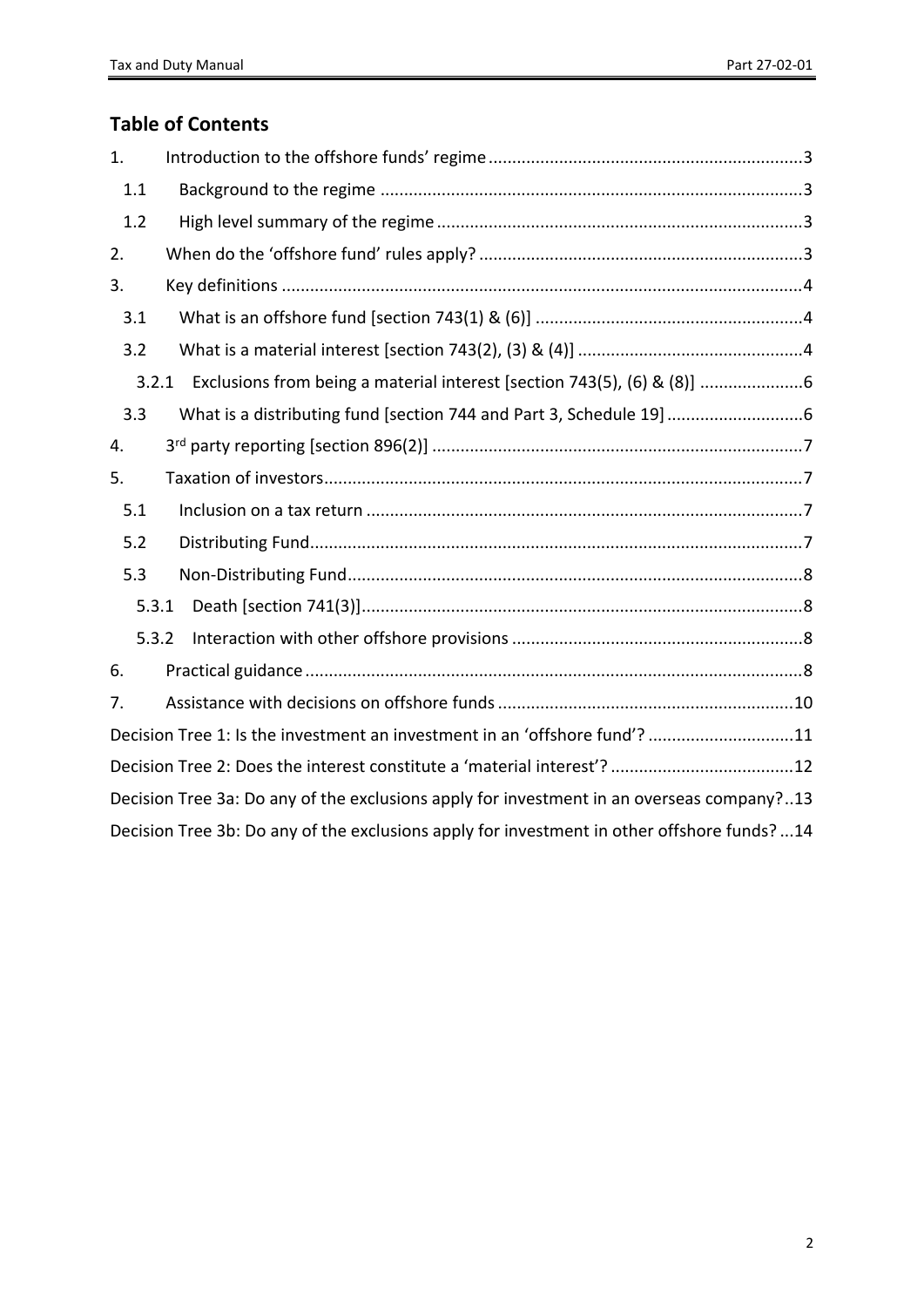## **Table of Contents**

| 1.    |                                                                                             |
|-------|---------------------------------------------------------------------------------------------|
| 1.1   |                                                                                             |
| 1.2   |                                                                                             |
| 2.    |                                                                                             |
| 3.    |                                                                                             |
| 3.1   |                                                                                             |
| 3.2   |                                                                                             |
| 3.2.1 | Exclusions from being a material interest [section 743(5), (6) & (8)] 6                     |
| 3.3   | What is a distributing fund [section 744 and Part 3, Schedule 19] 6                         |
| 4.    |                                                                                             |
| 5.    |                                                                                             |
| 5.1   |                                                                                             |
| 5.2   |                                                                                             |
| 5.3   |                                                                                             |
| 5.3.1 |                                                                                             |
| 5.3.2 |                                                                                             |
| 6.    |                                                                                             |
| 7.    |                                                                                             |
|       | Decision Tree 1: Is the investment an investment in an 'offshore fund'? 11                  |
|       |                                                                                             |
|       | Decision Tree 3a: Do any of the exclusions apply for investment in an overseas company?13   |
|       | Decision Tree 3b: Do any of the exclusions apply for investment in other offshore funds? 14 |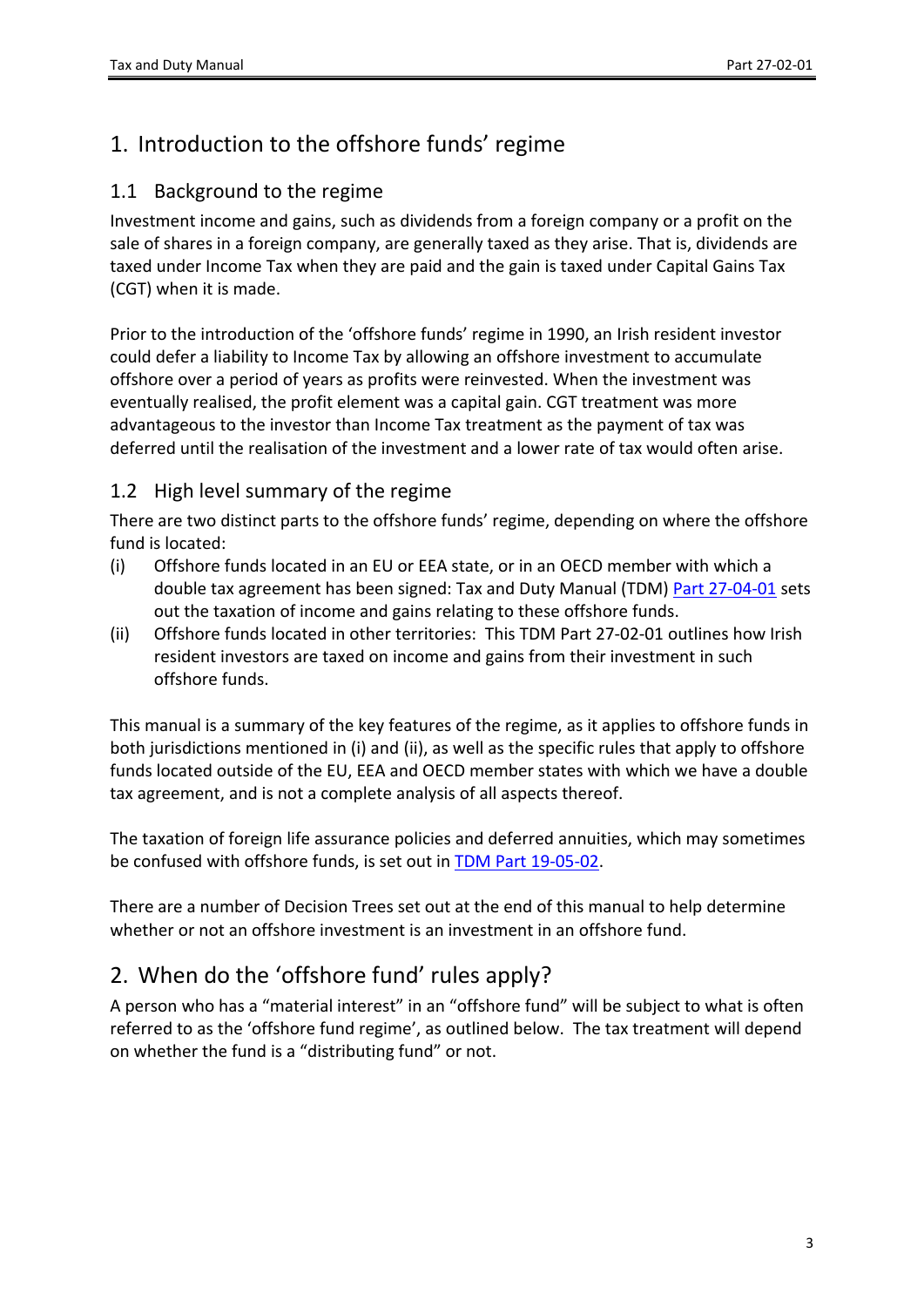# <span id="page-2-0"></span>1. Introduction to the offshore funds' regime

## <span id="page-2-1"></span>1.1 Background to the regime

Investment income and gains, such as dividends from a foreign company or a profit on the sale of shares in a foreign company, are generally taxed as they arise. That is, dividends are taxed under Income Tax when they are paid and the gain is taxed under Capital Gains Tax (CGT) when it is made.

Prior to the introduction of the 'offshore funds' regime in 1990, an Irish resident investor could defer a liability to Income Tax by allowing an offshore investment to accumulate offshore over a period of years as profits were reinvested. When the investment was eventually realised, the profit element was a capital gain. CGT treatment was more advantageous to the investor than Income Tax treatment as the payment of tax was deferred until the realisation of the investment and a lower rate of tax would often arise.

## <span id="page-2-2"></span>1.2 High level summary of the regime

There are two distinct parts to the offshore funds' regime, depending on where the offshore fund is located:

- (i) Offshore funds located in an EU or EEA state, or in an OECD member with which a double tax agreement has been signed: Tax and Duty Manual (TDM) [Part](https://www.revenue.ie/en/tax-professionals/tdm/income-tax-capital-gains-tax-corporation-tax/part-27/27-04-01.pdf) [27-04-01](https://www.revenue.ie/en/tax-professionals/tdm/income-tax-capital-gains-tax-corporation-tax/part-27/27-04-01.pdf) sets out the taxation of income and gains relating to these offshore funds.
- (ii) Offshore funds located in other territories: This TDM Part 27-02-01 outlines how Irish resident investors are taxed on income and gains from their investment in such offshore funds.

This manual is a summary of the key features of the regime, as it applies to offshore funds in both jurisdictions mentioned in (i) and (ii), as well as the specific rules that apply to offshore funds located outside of the EU, EEA and OECD member states with which we have a double tax agreement, and is not a complete analysis of all aspects thereof.

The taxation of foreign life assurance policies and deferred annuities, which may sometimes be confused with offshore funds, is set out in [TDM](https://www.revenue.ie/en/tax-professionals/tdm/income-tax-capital-gains-tax-corporation-tax/part-19/19-05-02.pdf) [Part](https://www.revenue.ie/en/tax-professionals/tdm/income-tax-capital-gains-tax-corporation-tax/part-19/19-05-02.pdf) [19-05-02](https://www.revenue.ie/en/tax-professionals/tdm/income-tax-capital-gains-tax-corporation-tax/part-19/19-05-02.pdf).

There are a number of Decision Trees set out at the end of this manual to help determine whether or not an offshore investment is an investment in an offshore fund.

# <span id="page-2-3"></span>2. When do the 'offshore fund' rules apply?

A person who has a "material interest" in an "offshore fund" will be subject to what is often referred to as the 'offshore fund regime', as outlined below. The tax treatment will depend on whether the fund is a "distributing fund" or not.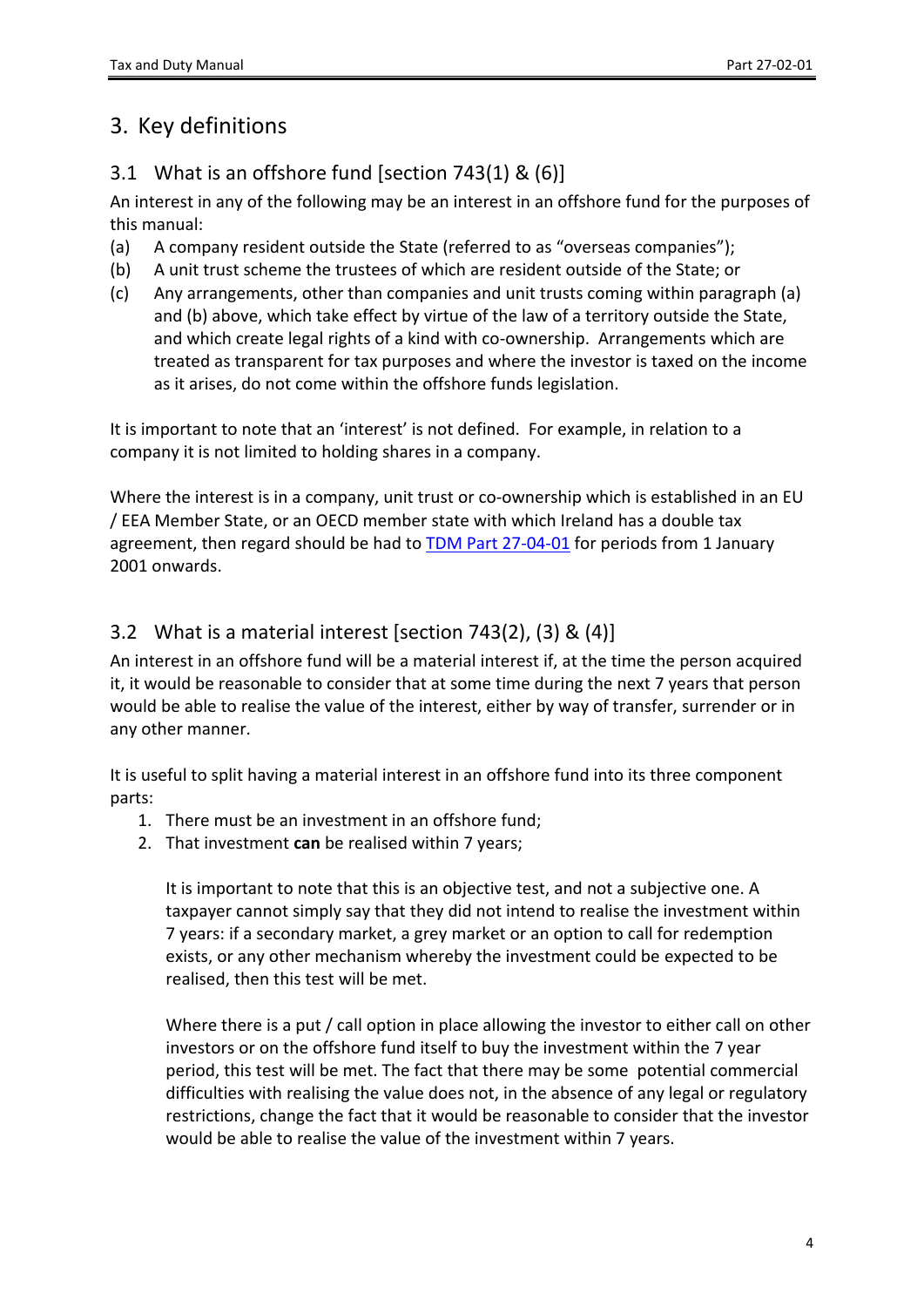# <span id="page-3-0"></span>3. Key definitions

## <span id="page-3-1"></span>3.1 What is an offshore fund [section 743(1) & (6)]

An interest in any of the following may be an interest in an offshore fund for the purposes of this manual:

- (a) A company resident outside the State (referred to as "overseas companies");
- (b) A unit trust scheme the trustees of which are resident outside of the State; or
- (c) Any arrangements, other than companies and unit trusts coming within paragraph (a) and (b) above, which take effect by virtue of the law of a territory outside the State, and which create legal rights of a kind with co-ownership. Arrangements which are treated as transparent for tax purposes and where the investor is taxed on the income as it arises, do not come within the offshore funds legislation.

It is important to note that an 'interest' is not defined. For example, in relation to a company it is not limited to holding shares in a company.

Where the interest is in a company, unit trust or co-ownership which is established in an EU / EEA Member State, or an OECD member state with which Ireland has a double tax agreement, then regard should be had to [TDM](https://www.revenue.ie/en/tax-professionals/tdm/income-tax-capital-gains-tax-corporation-tax/part-27/27-04-01.pdf) [Part](https://www.revenue.ie/en/tax-professionals/tdm/income-tax-capital-gains-tax-corporation-tax/part-27/27-04-01.pdf) [27-04-01](https://www.revenue.ie/en/tax-professionals/tdm/income-tax-capital-gains-tax-corporation-tax/part-27/27-04-01.pdf) for periods from 1 January 2001 onwards.

## <span id="page-3-2"></span>3.2 What is a material interest [section 743(2), (3) & (4)]

An interest in an offshore fund will be a material interest if, at the time the person acquired it, it would be reasonable to consider that at some time during the next 7 years that person would be able to realise the value of the interest, either by way of transfer, surrender or in any other manner.

It is useful to split having a material interest in an offshore fund into its three component parts:

- 1. There must be an investment in an offshore fund;
- 2. That investment **can** be realised within 7 years;

It is important to note that this is an objective test, and not a subjective one. A taxpayer cannot simply say that they did not intend to realise the investment within 7 years: if a secondary market, a grey market or an option to call for redemption exists, or any other mechanism whereby the investment could be expected to be realised, then this test will be met.

Where there is a put / call option in place allowing the investor to either call on other investors or on the offshore fund itself to buy the investment within the 7 year period, this test will be met. The fact that there may be some potential commercial difficulties with realising the value does not, in the absence of any legal or regulatory restrictions, change the fact that it would be reasonable to consider that the investor would be able to realise the value of the investment within 7 years.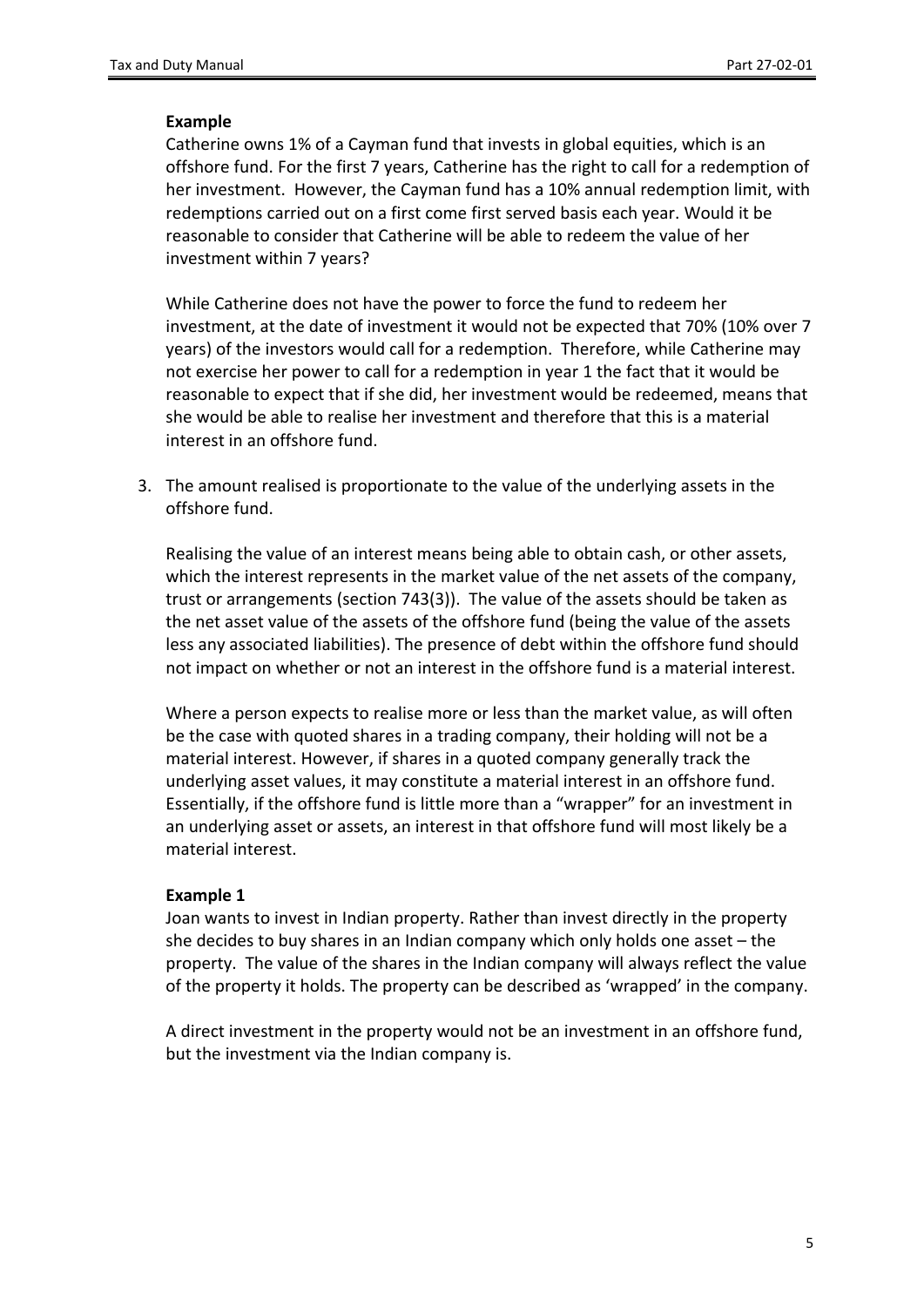### **Example**

Catherine owns 1% of a Cayman fund that invests in global equities, which is an offshore fund. For the first 7 years, Catherine has the right to call for a redemption of her investment. However, the Cayman fund has a 10% annual redemption limit, with redemptions carried out on a first come first served basis each year. Would it be reasonable to consider that Catherine will be able to redeem the value of her investment within 7 years?

While Catherine does not have the power to force the fund to redeem her investment, at the date of investment it would not be expected that 70% (10% over 7 years) of the investors would call for a redemption. Therefore, while Catherine may not exercise her power to call for a redemption in year 1 the fact that it would be reasonable to expect that if she did, her investment would be redeemed, means that she would be able to realise her investment and therefore that this is a material interest in an offshore fund.

3. The amount realised is proportionate to the value of the underlying assets in the offshore fund.

Realising the value of an interest means being able to obtain cash, or other assets, which the interest represents in the market value of the net assets of the company, trust or arrangements (section 743(3)). The value of the assets should be taken as the net asset value of the assets of the offshore fund (being the value of the assets less any associated liabilities). The presence of debt within the offshore fund should not impact on whether or not an interest in the offshore fund is a material interest.

Where a person expects to realise more or less than the market value, as will often be the case with quoted shares in a trading company, their holding will not be a material interest. However, if shares in a quoted company generally track the underlying asset values, it may constitute a material interest in an offshore fund. Essentially, if the offshore fund is little more than a "wrapper" for an investment in an underlying asset or assets, an interest in that offshore fund will most likely be a material interest.

### **Example 1**

Joan wants to invest in Indian property. Rather than invest directly in the property she decides to buy shares in an Indian company which only holds one asset – the property. The value of the shares in the Indian company will always reflect the value of the property it holds. The property can be described as 'wrapped' in the company.

A direct investment in the property would not be an investment in an offshore fund, but the investment via the Indian company is.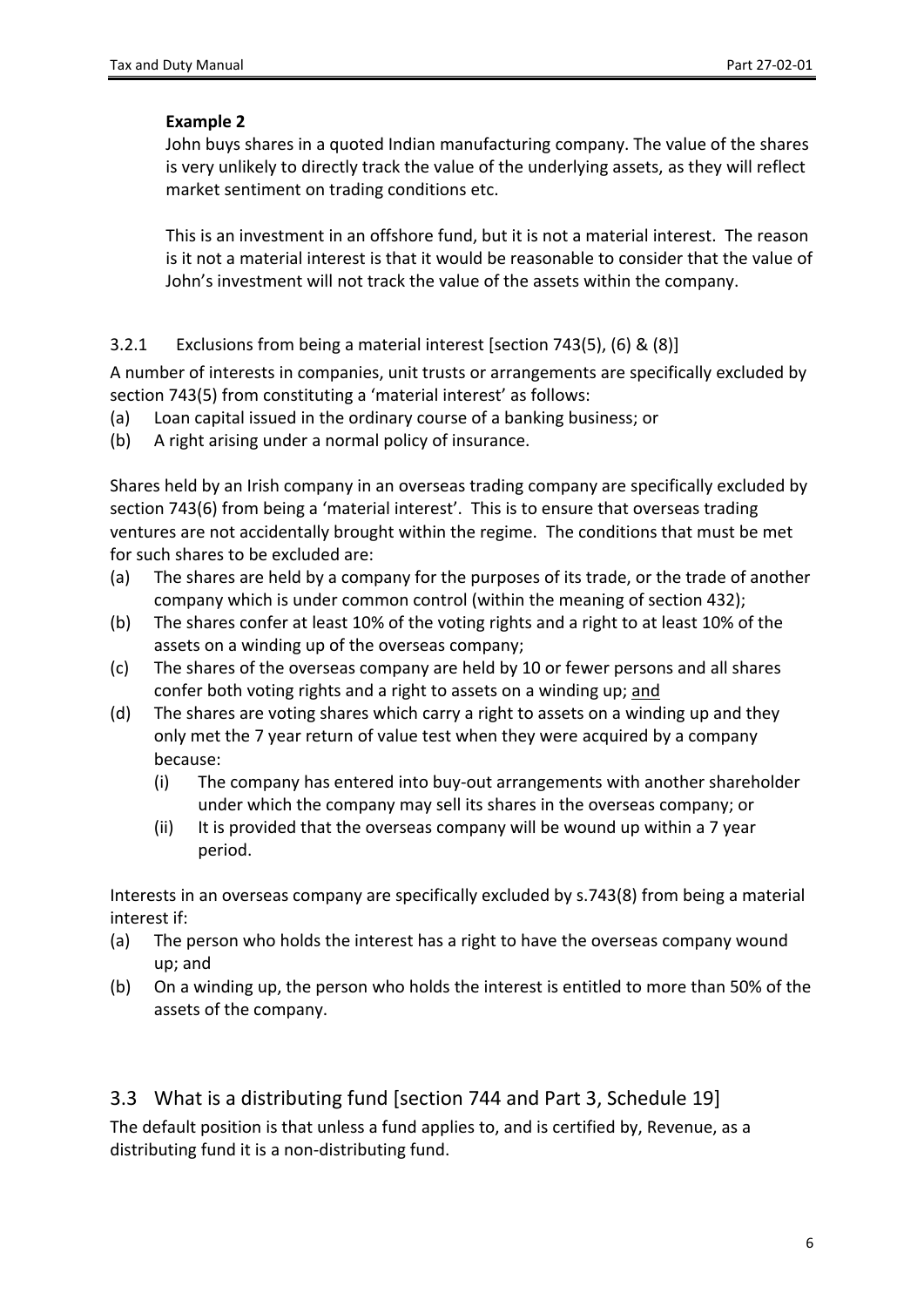### **Example 2**

John buys shares in a quoted Indian manufacturing company. The value of the shares is very unlikely to directly track the value of the underlying assets, as they will reflect market sentiment on trading conditions etc.

This is an investment in an offshore fund, but it is not a material interest. The reason is it not a material interest is that it would be reasonable to consider that the value of John's investment will not track the value of the assets within the company.

<span id="page-5-0"></span>3.2.1 Exclusions from being a material interest [section 743(5), (6) & (8)]

A number of interests in companies, unit trusts or arrangements are specifically excluded by section 743(5) from constituting a 'material interest' as follows:

(a) Loan capital issued in the ordinary course of a banking business; or

(b) A right arising under a normal policy of insurance.

Shares held by an Irish company in an overseas trading company are specifically excluded by section 743(6) from being a 'material interest'. This is to ensure that overseas trading ventures are not accidentally brought within the regime. The conditions that must be met for such shares to be excluded are:

- (a) The shares are held by a company for the purposes of its trade, or the trade of another company which is under common control (within the meaning of section 432);
- (b) The shares confer at least 10% of the voting rights and a right to at least 10% of the assets on a winding up of the overseas company;
- (c) The shares of the overseas company are held by 10 or fewer persons and all shares confer both voting rights and a right to assets on a winding up; and
- (d) The shares are voting shares which carry a right to assets on a winding up and they only met the 7 year return of value test when they were acquired by a company because:
	- (i) The company has entered into buy-out arrangements with another shareholder under which the company may sell its shares in the overseas company; or
	- (ii) It is provided that the overseas company will be wound up within a 7 year period.

Interests in an overseas company are specifically excluded by s.743(8) from being a material interest if:

- (a) The person who holds the interest has a right to have the overseas company wound up; and
- (b) On a winding up, the person who holds the interest is entitled to more than 50% of the assets of the company.

## <span id="page-5-1"></span>3.3 What is a distributing fund [section 744 and Part 3, Schedule 19]

The default position is that unless a fund applies to, and is certified by, Revenue, as a distributing fund it is a non-distributing fund.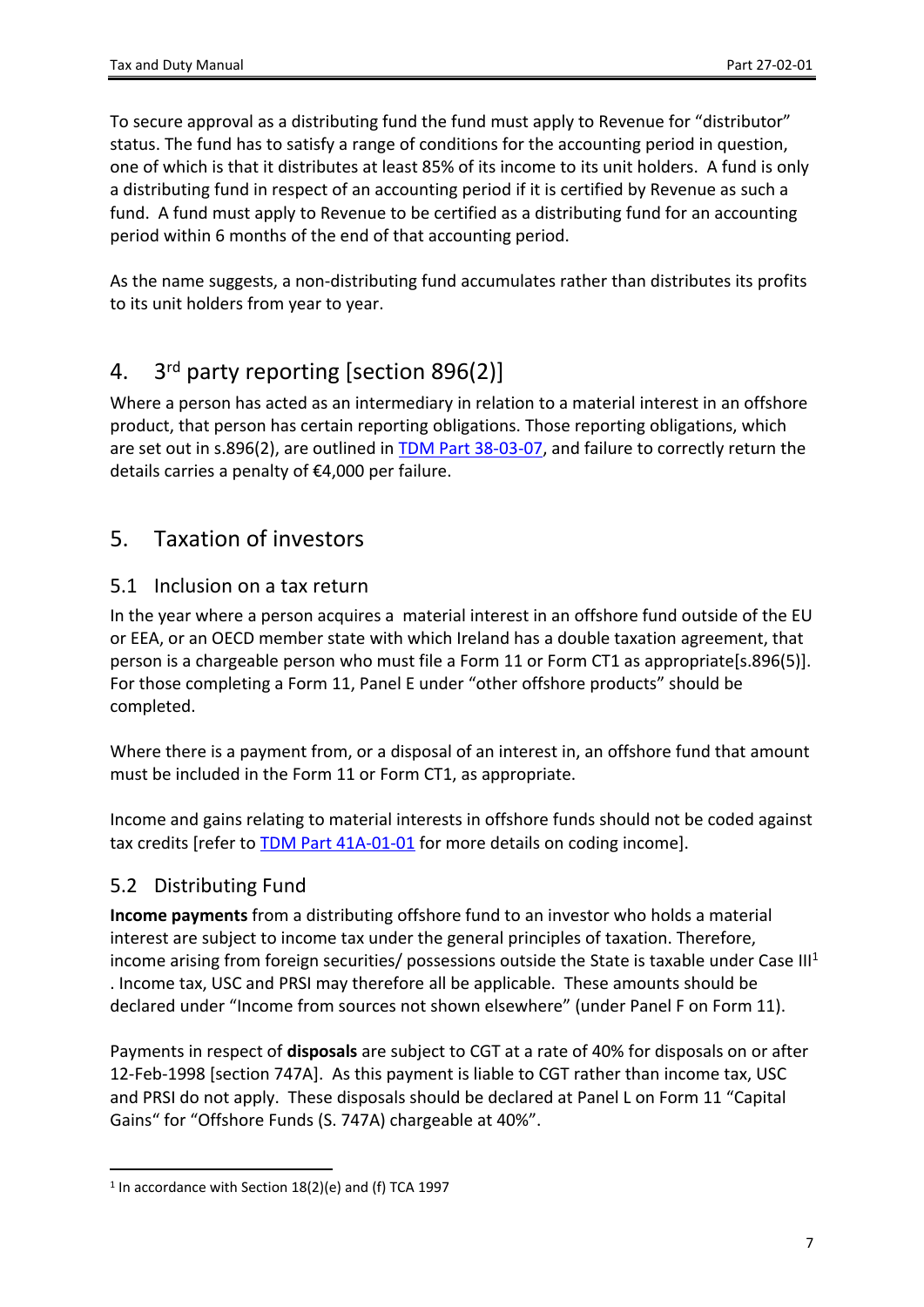To secure approval as a distributing fund the fund must apply to Revenue for "distributor" status. The fund has to satisfy a range of conditions for the accounting period in question, one of which is that it distributes at least 85% of its income to its unit holders. A fund is only a distributing fund in respect of an accounting period if it is certified by Revenue as such a fund. A fund must apply to Revenue to be certified as a distributing fund for an accounting period within 6 months of the end of that accounting period.

As the name suggests, a non-distributing fund accumulates rather than distributes its profits to its unit holders from year to year.

#### <span id="page-6-0"></span> $\overline{4}$ . 3<sup>rd</sup> party reporting [section 896(2)]

Where a person has acted as an intermediary in relation to a material interest in an offshore product, that person has certain reporting obligations. Those reporting obligations, which are set out in s.896(2), are outlined in [TDM](https://www.revenue.ie/en/tax-professionals/tdm/income-tax-capital-gains-tax-corporation-tax/part-38/38-03-07.pdf) [Part](https://www.revenue.ie/en/tax-professionals/tdm/income-tax-capital-gains-tax-corporation-tax/part-38/38-03-07.pdf) [38-03-07,](https://www.revenue.ie/en/tax-professionals/tdm/income-tax-capital-gains-tax-corporation-tax/part-38/38-03-07.pdf) and failure to correctly return the details carries a penalty of €4,000 per failure.

## <span id="page-6-1"></span>5. Taxation of investors

## <span id="page-6-2"></span>5.1 Inclusion on a tax return

In the year where a person acquires a material interest in an offshore fund outside of the EU or EEA, or an OECD member state with which Ireland has a double taxation agreement, that person is a chargeable person who must file a Form 11 or Form CT1 as appropriate[s.896(5)]. For those completing a Form 11, Panel E under "other offshore products" should be completed.

Where there is a payment from, or a disposal of an interest in, an offshore fund that amount must be included in the Form 11 or Form CT1, as appropriate.

Income and gains relating to material interests in offshore funds should not be coded against tax credits [refer to [TDM](https://www.revenue.ie/en/tax-professionals/tdm/income-tax-capital-gains-tax-corporation-tax/part-41a/41a-01-01.pdf) [Part](https://www.revenue.ie/en/tax-professionals/tdm/income-tax-capital-gains-tax-corporation-tax/part-41a/41a-01-01.pdf) [41A-01-01](https://www.revenue.ie/en/tax-professionals/tdm/income-tax-capital-gains-tax-corporation-tax/part-41a/41a-01-01.pdf) for more details on coding income].

## <span id="page-6-3"></span>5.2 Distributing Fund

**Income payments** from a distributing offshore fund to an investor who holds a material interest are subject to income tax under the general principles of taxation. Therefore, income arising from foreign securities/ possessions outside the State is taxable under Case  $III<sup>1</sup>$ . Income tax, USC and PRSI may therefore all be applicable. These amounts should be declared under "Income from sources not shown elsewhere" (under Panel F on Form 11).

Payments in respect of **disposals** are subject to CGT at a rate of 40% for disposals on or after 12-Feb-1998 [section 747A]. As this payment is liable to CGT rather than income tax, USC and PRSI do not apply. These disposals should be declared at Panel L on Form 11 "Capital Gains" for "Offshore Funds (S. 747A) chargeable at 40%".

<sup>&</sup>lt;sup>1</sup> In accordance with Section 18(2)(e) and (f) TCA 1997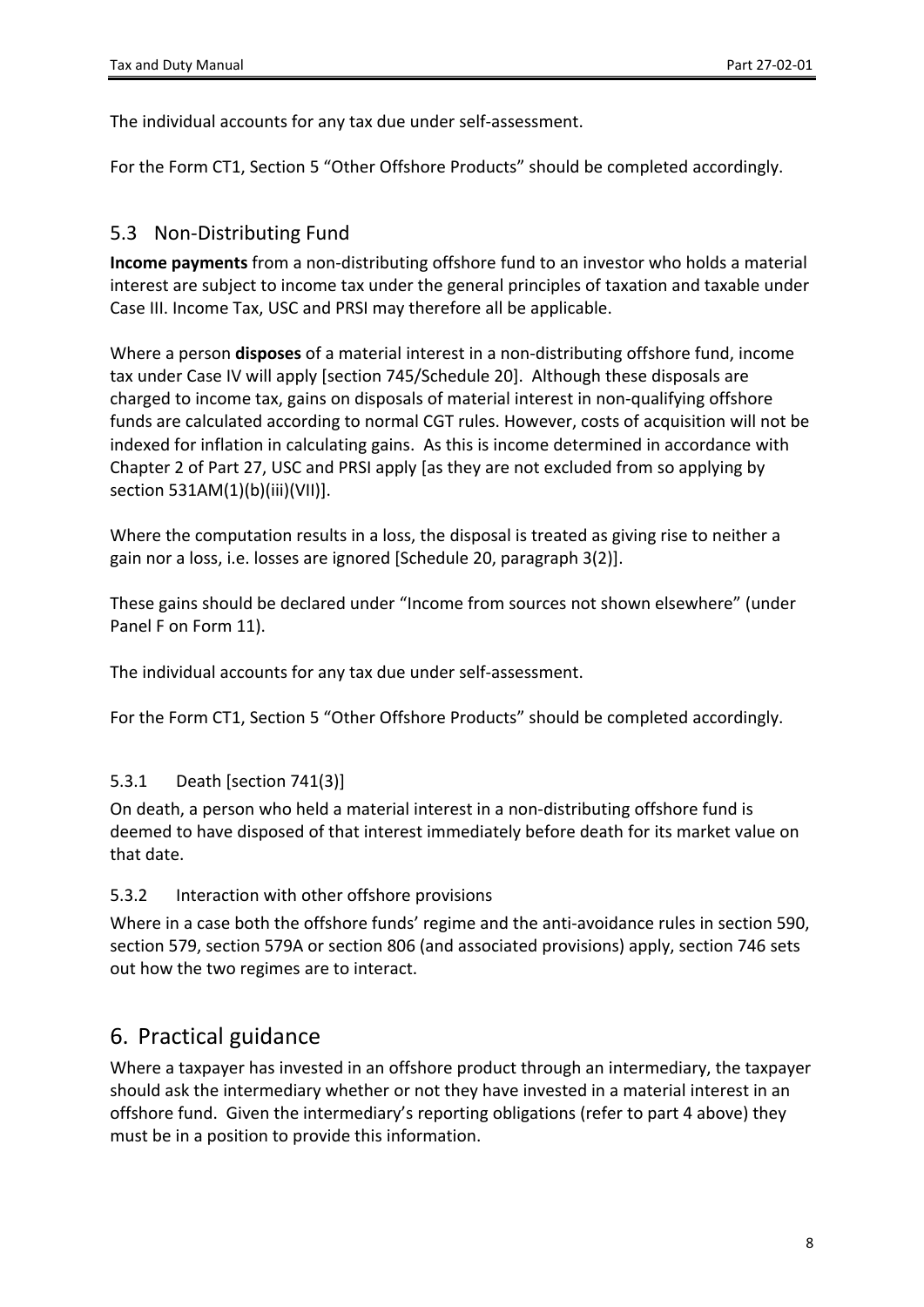The individual accounts for any tax due under self-assessment.

For the Form CT1, Section 5 "Other Offshore Products" should be completed accordingly.

## <span id="page-7-0"></span>5.3 Non-Distributing Fund

**Income payments** from a non-distributing offshore fund to an investor who holds a material interest are subject to income tax under the general principles of taxation and taxable under Case III. Income Tax, USC and PRSI may therefore all be applicable.

Where a person **disposes** of a material interest in a non-distributing offshore fund, income tax under Case IV will apply [section 745/Schedule 20]. Although these disposals are charged to income tax, gains on disposals of material interest in non-qualifying offshore funds are calculated according to normal CGT rules. However, costs of acquisition will not be indexed for inflation in calculating gains. As this is income determined in accordance with Chapter 2 of Part 27, USC and PRSI apply [as they are not excluded from so applying by section 531AM(1)(b)(iii)(VII)].

Where the computation results in a loss, the disposal is treated as giving rise to neither a gain nor a loss, i.e. losses are ignored [Schedule 20, paragraph 3(2)].

These gains should be declared under "Income from sources not shown elsewhere" (under Panel F on Form 11).

The individual accounts for any tax due under self-assessment.

For the Form CT1, Section 5 "Other Offshore Products" should be completed accordingly.

### <span id="page-7-1"></span>5.3.1 Death [section 741(3)]

On death, a person who held a material interest in a non-distributing offshore fund is deemed to have disposed of that interest immediately before death for its market value on that date.

### <span id="page-7-2"></span>5.3.2 Interaction with other offshore provisions

Where in a case both the offshore funds' regime and the anti-avoidance rules in section 590, section 579, section 579A or section 806 (and associated provisions) apply, section 746 sets out how the two regimes are to interact.

## <span id="page-7-3"></span>6. Practical guidance

Where a taxpayer has invested in an offshore product through an intermediary, the taxpayer should ask the intermediary whether or not they have invested in a material interest in an offshore fund. Given the intermediary's reporting obligations (refer to part 4 above) they must be in a position to provide this information.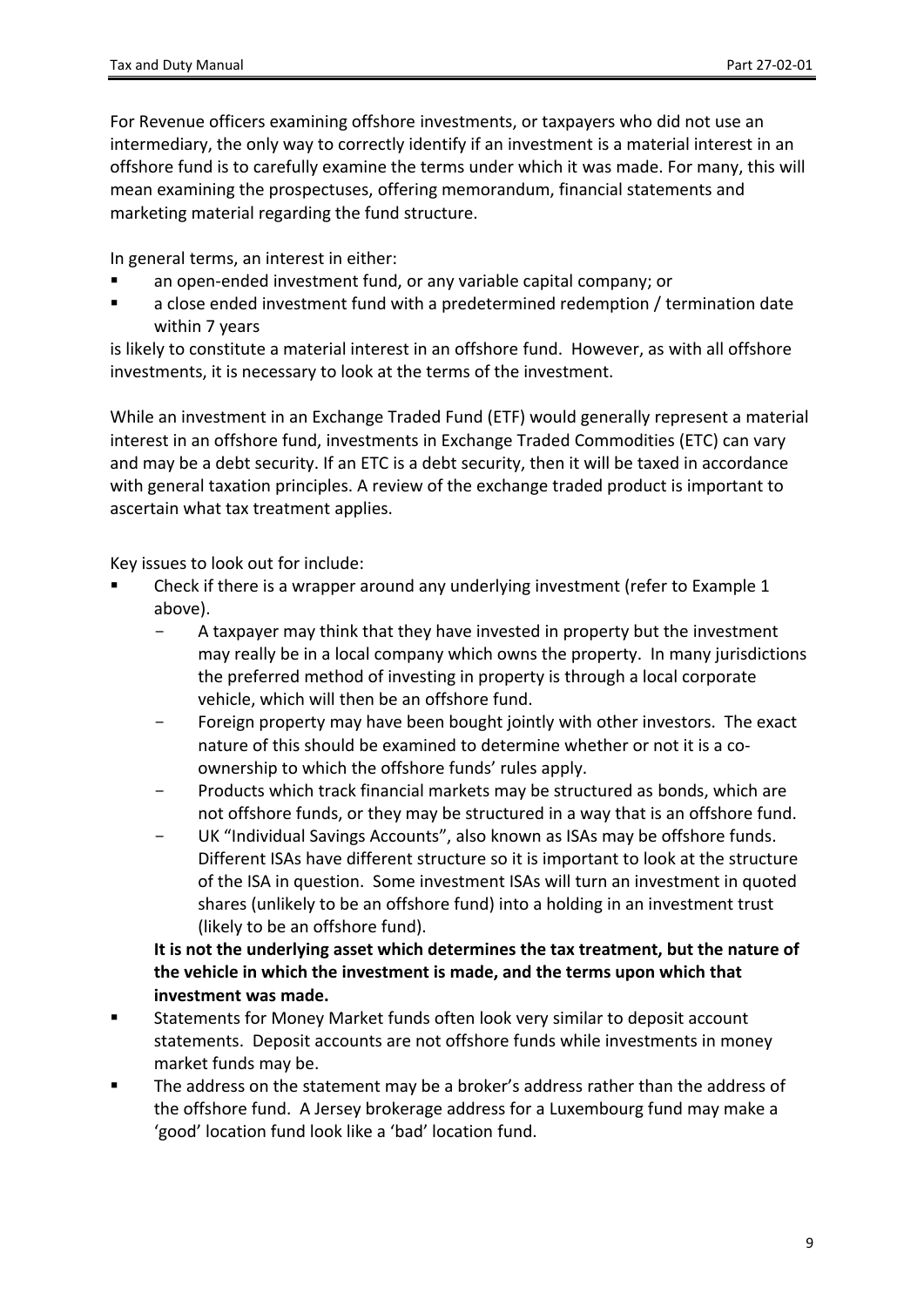For Revenue officers examining offshore investments, or taxpayers who did not use an intermediary, the only way to correctly identify if an investment is a material interest in an offshore fund is to carefully examine the terms under which it was made. For many, this will mean examining the prospectuses, offering memorandum, financial statements and marketing material regarding the fund structure.

In general terms, an interest in either:

- an open-ended investment fund, or any variable capital company; or
- a close ended investment fund with a predetermined redemption / termination date within 7 years

is likely to constitute a material interest in an offshore fund. However, as with all offshore investments, it is necessary to look at the terms of the investment.

While an investment in an Exchange Traded Fund (ETF) would generally represent a material interest in an offshore fund, investments in Exchange Traded Commodities (ETC) can vary and may be a debt security. If an ETC is a debt security, then it will be taxed in accordance with general taxation principles. A review of the exchange traded product is important to ascertain what tax treatment applies.

Key issues to look out for include:

- Check if there is a wrapper around any underlying investment (refer to Example 1 above).
	- A taxpayer may think that they have invested in property but the investment may really be in a local company which owns the property. In many jurisdictions the preferred method of investing in property is through a local corporate vehicle, which will then be an offshore fund.
	- Foreign property may have been bought jointly with other investors. The exact nature of this should be examined to determine whether or not it is a coownership to which the offshore funds' rules apply.
	- Products which track financial markets may be structured as bonds, which are not offshore funds, or they may be structured in a way that is an offshore fund.
	- UK "Individual Savings Accounts", also known as ISAs may be offshore funds. Different ISAs have different structure so it is important to look at the structure of the ISA in question. Some investment ISAs will turn an investment in quoted shares (unlikely to be an offshore fund) into a holding in an investment trust (likely to be an offshore fund).

### **It is not the underlying asset which determines the tax treatment, but the nature of the vehicle in which the investment is made, and the terms upon which that investment was made.**

- Statements for Money Market funds often look very similar to deposit account statements. Deposit accounts are not offshore funds while investments in money market funds may be.
- The address on the statement may be a broker's address rather than the address of the offshore fund. A Jersey brokerage address for a Luxembourg fund may make a 'good' location fund look like a 'bad' location fund.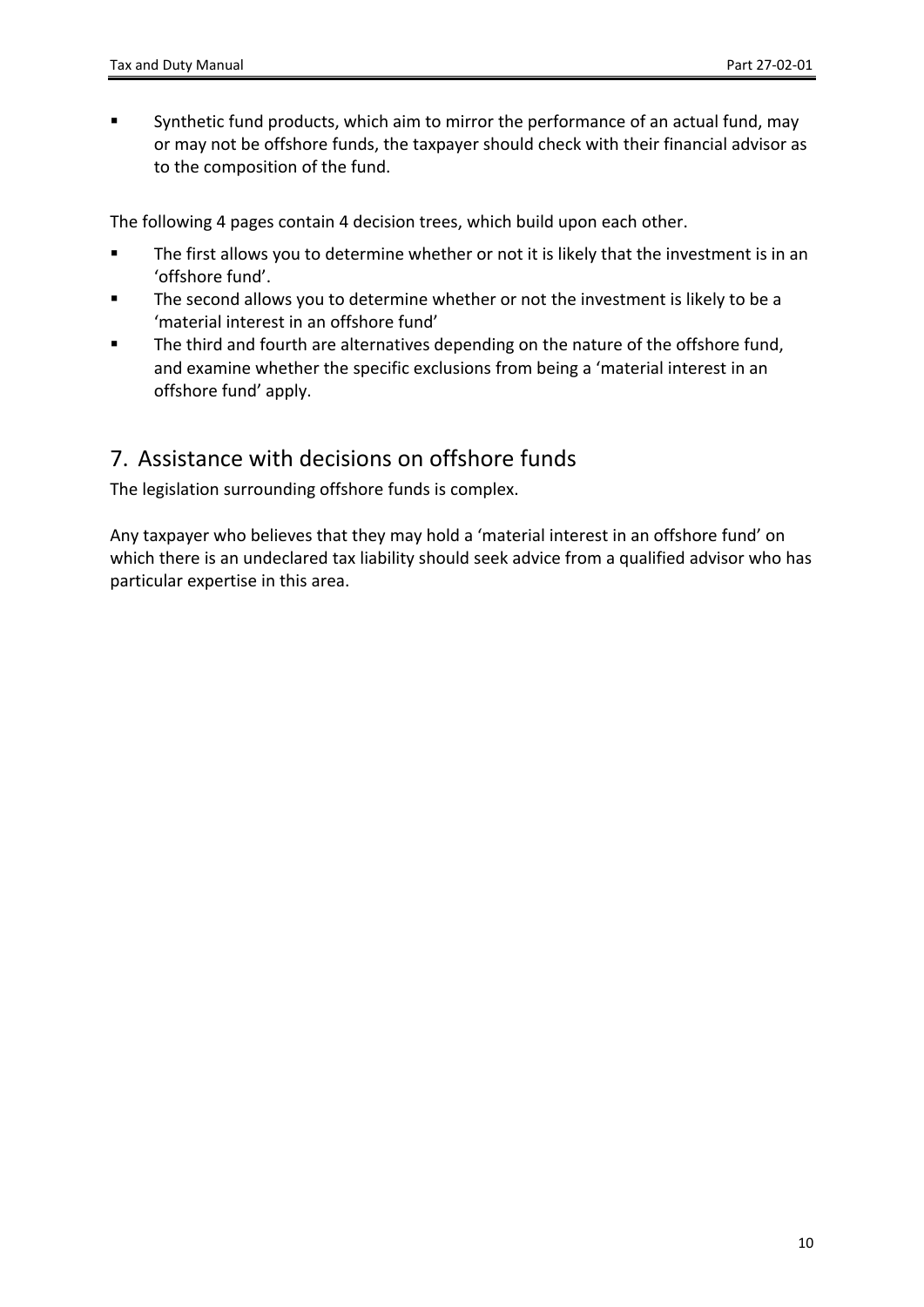Synthetic fund products, which aim to mirror the performance of an actual fund, may or may not be offshore funds, the taxpayer should check with their financial advisor as to the composition of the fund.

The following 4 pages contain 4 decision trees, which build upon each other.

- **The first allows you to determine whether or not it is likely that the investment is in an** 'offshore fund'.
- **The second allows you to determine whether or not the investment is likely to be a** 'material interest in an offshore fund'
- The third and fourth are alternatives depending on the nature of the offshore fund, and examine whether the specific exclusions from being a 'material interest in an offshore fund' apply.

## <span id="page-9-0"></span>7. Assistance with decisions on offshore funds

The legislation surrounding offshore funds is complex.

Any taxpayer who believes that they may hold a 'material interest in an offshore fund' on which there is an undeclared tax liability should seek advice from a qualified advisor who has particular expertise in this area.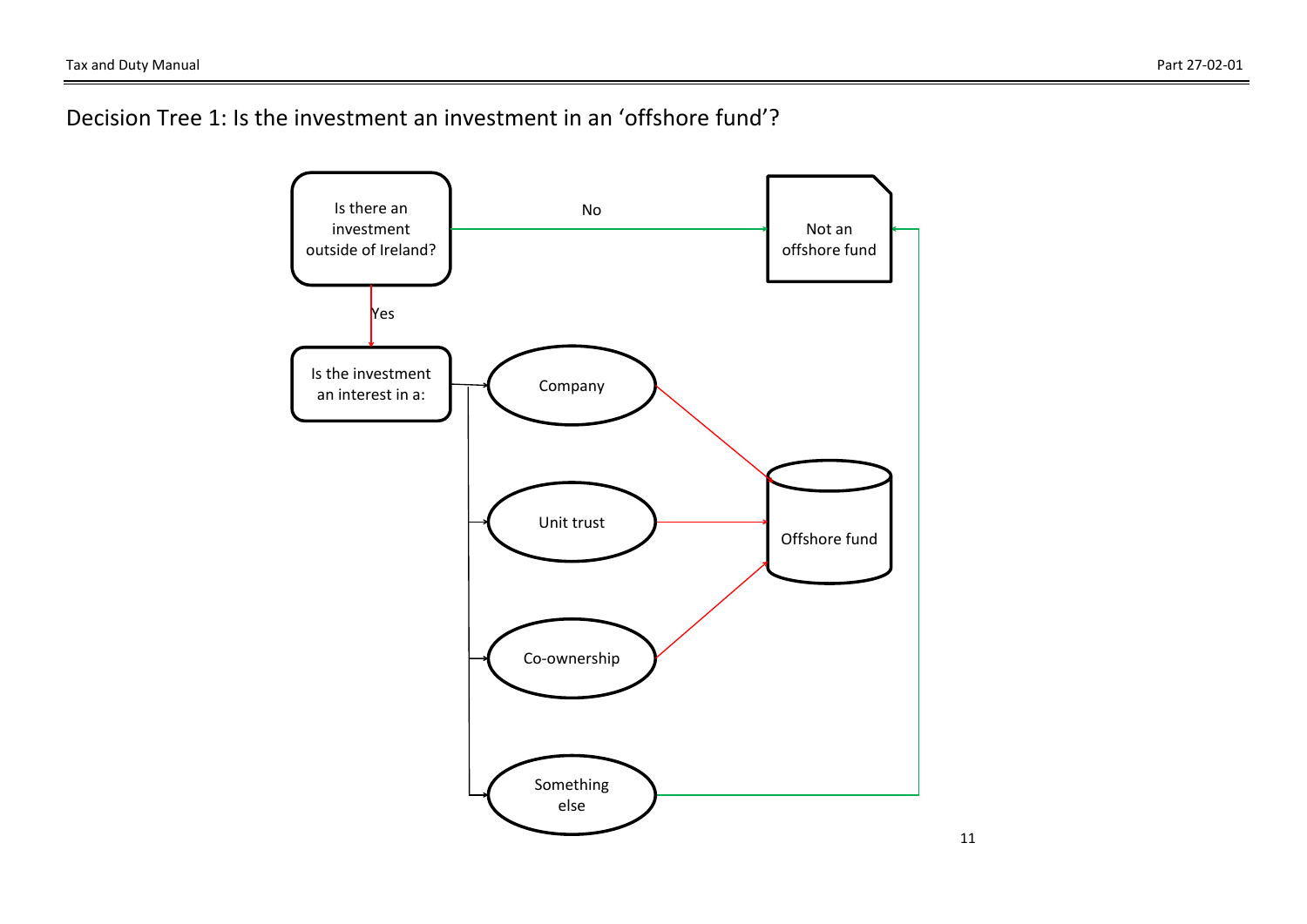# <span id="page-10-0"></span>Decision Tree 1: Is the investment an investment in an 'offshore fund'?

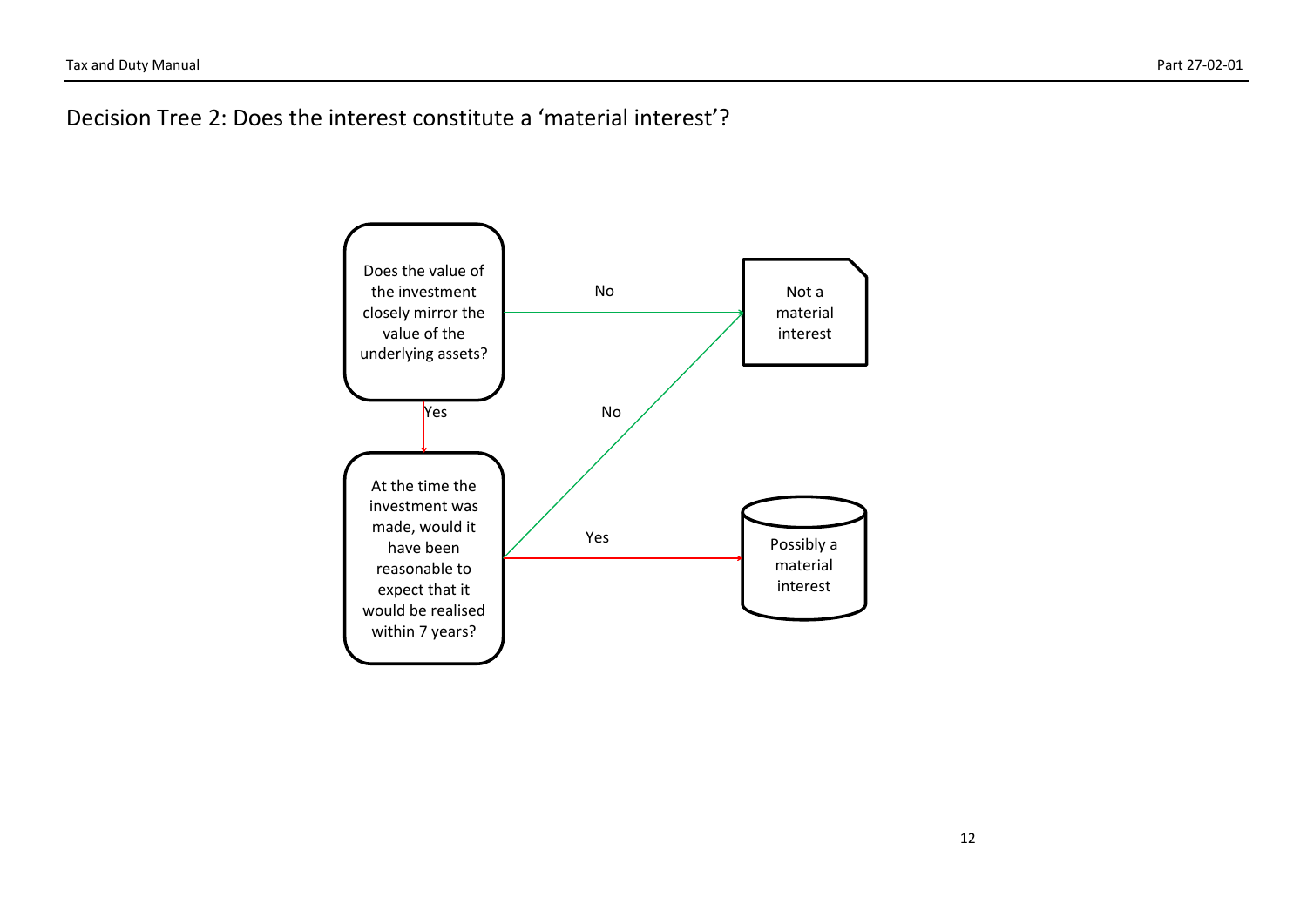# Decision Tree 2: Does the interest constitute a 'material interest'?

<span id="page-11-0"></span>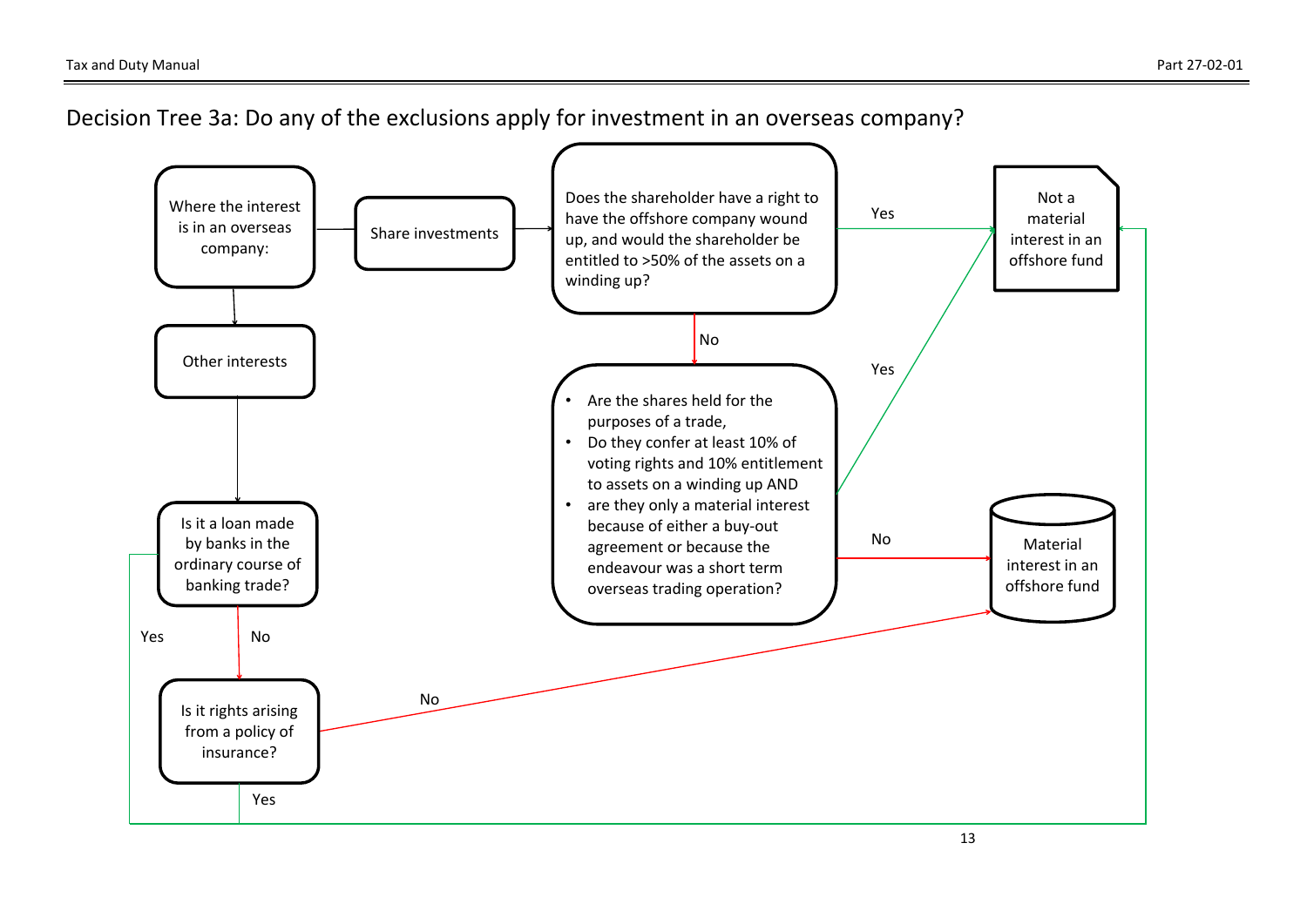# Decision Tree 3a: Do any of the exclusions apply for investment in an overseas company?

<span id="page-12-0"></span>